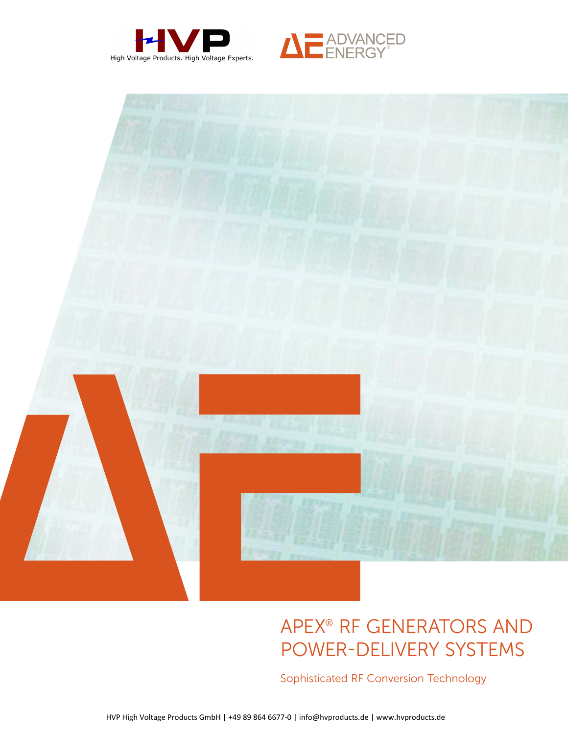





# APEX<sup>®</sup> RF GENERATORS AND Power-Delivery Systems

Sophisticated RF Conversion Technology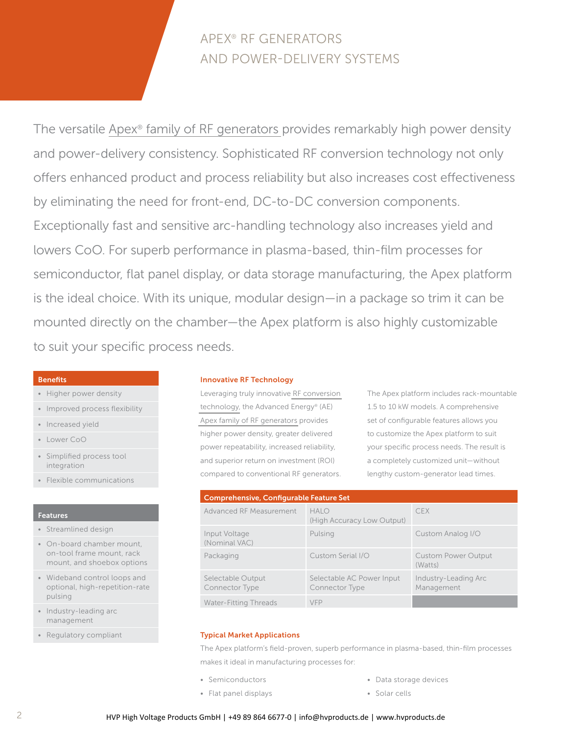# Apex® RF Generators and Power-Delivery Systems

The versatile Apex® family of RF [generators](http://www.advanced-energy.com/en/Apex.html) provides remarkably high power density and power-delivery consistency. Sophisticated RF conversion technology not only offers enhanced product and process reliability but also increases cost effectiveness by eliminating the need for front-end, DC-to-DC conversion components. Exceptionally fast and sensitive arc-handling technology also increases yield and lowers CoO. For superb performance in plasma-based, thin-film processes for semiconductor, flat panel display, or data storage manufacturing, the Apex platform is the ideal choice. With its unique, modular design—in a package so trim it can be mounted directly on the chamber—the Apex platform is also highly customizable to suit your specific process needs.

# Benefits

- • Higher power density
- Improved process flexibility
- Increased yield
- • Lower CoO
- • Simplified process tool integration
- Flexible communications

# **Features**

- • Streamlined design
- • On-board chamber mount, on-tool frame mount, rack mount, and shoebox options
- • Wideband control loops and optional, high-repetition-rate pulsing
- Industry-leading arc management
- • Regulatory compliant

# Innovative RF Technology

Leveraging truly innovative RF [conversion](http://www.advanced-energy.com/en/RF.html) [technology,](http://www.advanced-energy.com/en/RF.html) the Advanced Energy® (AE) Apex family of RF [generators](http://www.advanced-energy.com/en/Apex.html) provides higher power density, greater delivered power repeatability, increased reliability, and superior return on investment (ROI) compared to conventional RF generators. The Apex platform includes rack-mountable 1.5 to 10 kW models. A comprehensive set of configurable features allows you to customize the Apex platform to suit your specific process needs. The result is a completely customized unit—without lengthy custom-generator lead times.

| <b>Comprehensive, Configurable Feature Set</b> |                                             |                                       |  |  |  |  |
|------------------------------------------------|---------------------------------------------|---------------------------------------|--|--|--|--|
| Advanced RF Measurement                        | HAIO<br>(High Accuracy Low Output)          | <b>CFX</b>                            |  |  |  |  |
| Input Voltage<br>(Nominal VAC)                 | Pulsing                                     | Custom Analog I/O                     |  |  |  |  |
| Packaging                                      | Custom Serial I/O                           | <b>Custom Power Output</b><br>(Watts) |  |  |  |  |
| Selectable Output<br>Connector Type            | Selectable AC Power Input<br>Connector Type | Industry-Leading Arc<br>Management    |  |  |  |  |
| <b>Water-Fitting Threads</b>                   | <b>VFP</b>                                  |                                       |  |  |  |  |

# Typical Market Applications

The Apex platform's field-proven, superb performance in plasma-based, thin-film processes makes it ideal in manufacturing processes for:

- Semiconductors
	- • Flat panel displays

• Data storage devices

• Solar cells

- 
- HVP High Voltage Products GmbH | +49 89 864 6677-0 | info@hvproducts.de | www.hvproducts.de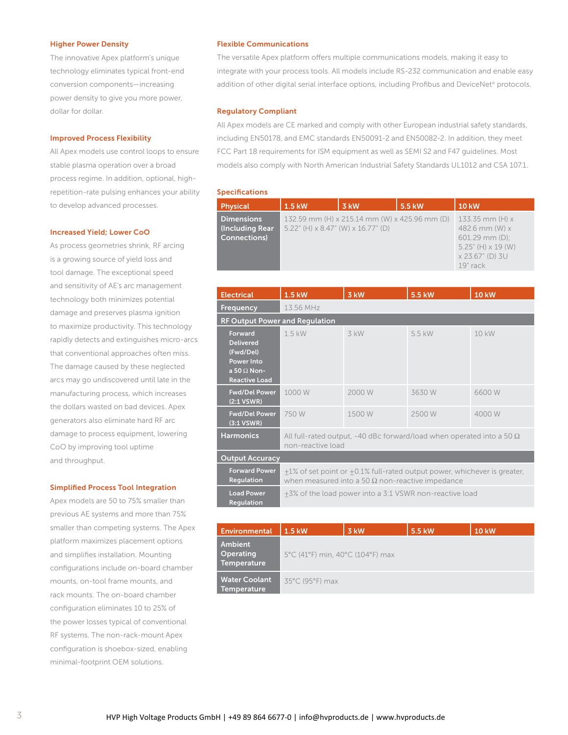## Higher Power Density

The innovative Apex platform's unique technology eliminates typical front-end conversion components—increasing power density to give you more power, dollar for dollar.

# Improved Process Flexibility

All Apex models use control loops to ensure stable plasma operation over a broad process regime. In addition, optional, highrepetition-rate pulsing enhances your ability to develop advanced processes.

#### Increased Yield; Lower CoO

As process geometries shrink, RF arcing is a growing source of yield loss and tool damage. The exceptional speed and sensitivity of AE's arc management technology both minimizes potential damage and preserves plasma ignition to maximize productivity. This technology rapidly detects and extinguishes micro-arcs that conventional approaches often miss. The damage caused by these neglected arcs may go undiscovered until late in the manufacturing process, which increases the dollars wasted on bad devices. Apex generators also eliminate hard RF arc damage to process equipment, lowering CoO by improving tool uptime and throughput.

#### Simplified Process Tool Integration

Apex models are 50 to 75% smaller than previous AE systems and more than 75% smaller than competing systems. The Apex platform maximizes placement options and simplifies installation. Mounting configurations include on-board chamber mounts, on-tool frame mounts, and rack mounts. The on-board chamber configuration eliminates 10 to 25% of the power losses typical of conventional RF systems. The non-rack-mount Apex configuration is shoebox-sized, enabling minimal-footprint OEM solutions.

# Flexible Communications

The versatile Apex platform offers multiple communications models, making it easy to integrate with your process tools. All models include RS-232 communication and enable easy addition of other digital serial interface options, including Profibus and DeviceNet® protocols.

# Regulatory Compliant

All Apex models are CE marked and comply with other European industrial safety standards, including EN50178, and EMC standards EN50091-2 and EN50082-2. In addition, they meet FCC Part 18 requirements for ISM equipment as well as SEMI S2 and F47 guidelines. Most models also comply with North American Industrial Safety Standards UL1012 and CSA 107.1.

#### Specifications

| Physical                                                      | 1.5 kW                                | 3 kW                                          | 5.5 kW | <b>10 kW</b>                                                                                                                  |
|---------------------------------------------------------------|---------------------------------------|-----------------------------------------------|--------|-------------------------------------------------------------------------------------------------------------------------------|
| <b>Dimensions</b><br>(Including Rear)<br><b>Connections</b> ) | $5.22$ " (H) x 8.47" (W) x 16.77" (D) | 132.59 mm (H) x 215.14 mm (W) x 425.96 mm (D) |        | 133.35 mm $(H)$ x<br>482.6 mm $(W)$ x<br>$601.29$ mm $(D)$ :<br>$5.25$ " (H) $\times$ 19 (W)<br>x 23.67" (D) 3U<br>$19"$ rack |

| <b>Electrical</b>                                                                                                  | 1.5 kW                                                                                                                              | 3 kW   | 5.5 kW | <b>10 kW</b> |
|--------------------------------------------------------------------------------------------------------------------|-------------------------------------------------------------------------------------------------------------------------------------|--------|--------|--------------|
| Frequency                                                                                                          | 13.56 MHz                                                                                                                           |        |        |              |
| <b>RF Output Power and Regulation</b>                                                                              |                                                                                                                                     |        |        |              |
| <b>Forward</b><br><b>Delivered</b><br>(Fwd/Del)<br><b>Power Into</b><br>a 50 $\Omega$ Non-<br><b>Reactive Load</b> | $1.5$ kW                                                                                                                            | 3 kW   | 5.5 kW | 10 kW        |
| <b>Fwd/Del Power</b><br>(2:1 VSWR)                                                                                 | 1000 W                                                                                                                              | 2000 W | 3630W  | 6600W        |
| <b>Fwd/Del Power</b><br>$(3:1$ VSWR)                                                                               | 750 W                                                                                                                               | 1500 W | 2500 W | 4000 W       |
| <b>Harmonics</b>                                                                                                   | All full-rated output, -40 dBc forward/load when operated into a 50 $\Omega$<br>non-reactive load                                   |        |        |              |
| <b>Output Accuracy</b>                                                                                             |                                                                                                                                     |        |        |              |
| <b>Forward Power</b><br><b>Regulation</b>                                                                          | +1% of set point or +0.1% full-rated output power, whichever is greater,<br>when measured into a 50 $\Omega$ non-reactive impedance |        |        |              |
| <b>Load Power</b><br>Regulation                                                                                    | +3% of the load power into a 3:1 VSWR non-reactive load                                                                             |        |        |              |

| Environmental                              | $1.5$ kW.                        | 3 kW | 5.5 kW | <b>10 kW</b> |
|--------------------------------------------|----------------------------------|------|--------|--------------|
| <b>Ambient</b><br>Operating<br>Temperature | 5°C (41°F) min, 40°C (104°F) max |      |        |              |
| Water Coolant<br><b>Temperature</b>        | 35°C (95°F) max                  |      |        |              |